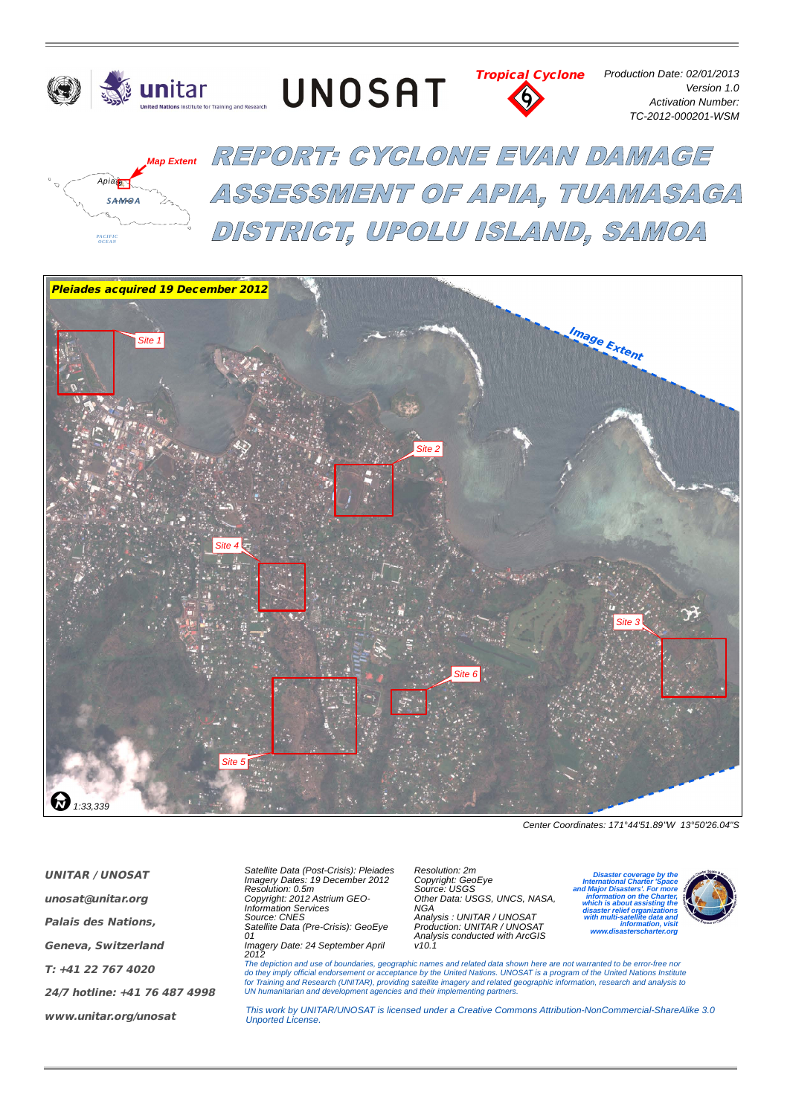

UNOSAT



*Production Date: 02/01/2013 Version 1.0 Activation Number: TC-2012-000201-WSM*



REPORT: GYGLONE EVAN DAMAGE ASSESSMENT OF APIA, TUAMASAGA DISTRICT, UPOLU ISLAND, SAMOA



*Center Coordinates: 171°44'51.89"W 13°50'26.04"S*

*UNITAR / UNOSAT*

*unosat@unitar.org*

*Palais des Nations,*

*Geneva, Switzerland*

*T: +41 22 767 4020*

*24/7 hotline: +41 76 487 4998*

*www.unitar.org/unosat*

*Satellite Data (Post-Crisis): Pleiades Imagery Dates: 19 December 2012 Resolution: 0.5m Copyright: 2012 Astrium GEO-Information Services Source: CNES Satellite Data (Pre-Crisis): GeoEye 01*

*Imagery Date: 24 September April 2012*

*Resolution: 2m Copyright: GeoEye Source: USGS Other Data: USGS, UNCS, NASA, NGA Analysis : UNITAR / UNOSAT Production: UNITAR / UNOSAT Analysis conducted with ArcGIS v10.1*

*zone 2S* **International Charter 'Space** *<i>Major Disasters'. For Units: Meter Disaster coverage by the International Charter 'Space and Major Disasters'. For more information on the Charter, which is about assisting the disaster relief organizations with multi-satellite data and information, visit www.disasterscharter.org*



The depiction and use of boundaries, geographic names and related data shown here are not warranted to be error-free nor<br>do they imply official endorsement or acceptance by the United Nations. UNOSAT is a program of the Un *UN humanitarian and development agencies and their implementing partners.*

*This work by UNITAR/UNOSAT is licensed under a Creative Commons Attribution-NonCommercial-ShareAlike 3.0 Unported License.*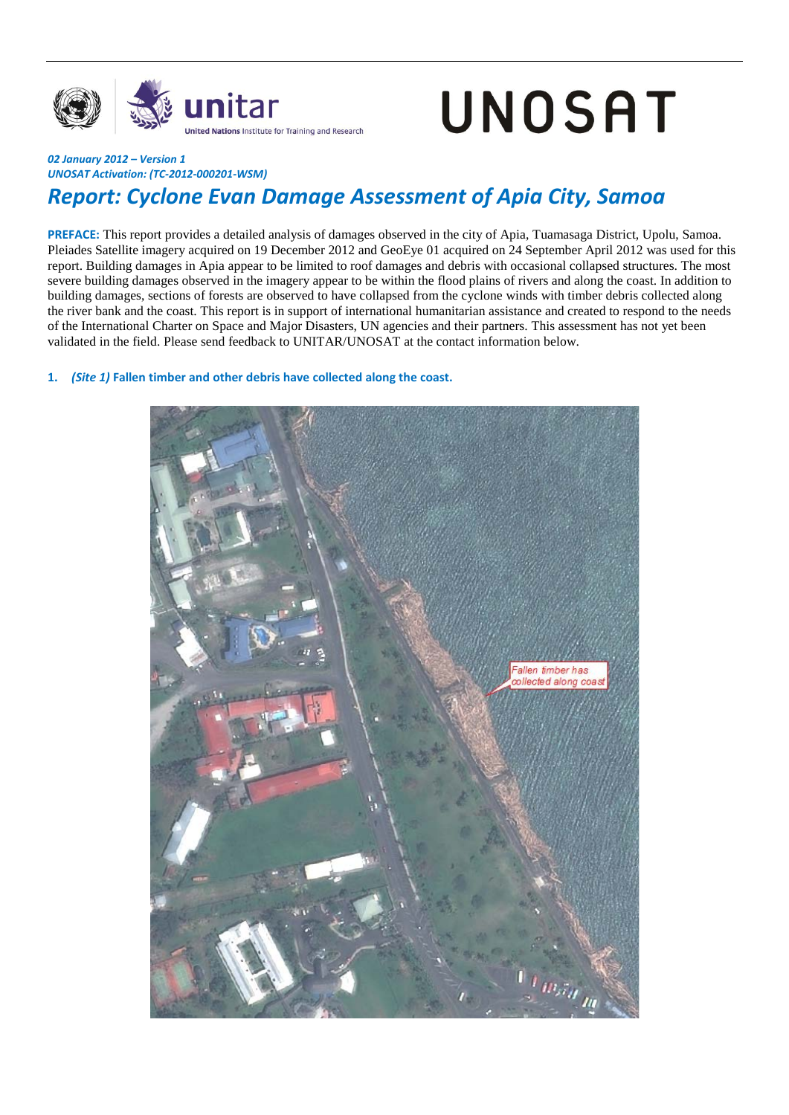

# UNOSAT

## *UNOSAT Activation: (TC-2012-000201-WSM)*

## *Report: Cyclone Evan Damage Assessment of Apia City, Samoa*

**PREFACE:** This report provides a detailed analysis of damages observed in the city of Apia, Tuamasaga District, Upolu, Samoa. Pleiades Satellite imagery acquired on 19 December 2012 and GeoEye 01 acquired on 24 September April 2012 was used for this report. Building damages in Apia appear to be limited to roof damages and debris with occasional collapsed structures. The most severe building damages observed in the imagery appear to be within the flood plains of rivers and along the coast. In addition to building damages, sections of forests are observed to have collapsed from the cyclone winds with timber debris collected along the river bank and the coast. This report is in support of international humanitarian assistance and created to respond to the needs of the International Charter on Space and Major Disasters, UN agencies and their partners. This assessment has not yet been validated in the field. Please send feedback to UNITAR/UNOSAT at the contact information below.

### **1.** *(Site 1)* **Fallen timber and other debris have collected along the coast.**

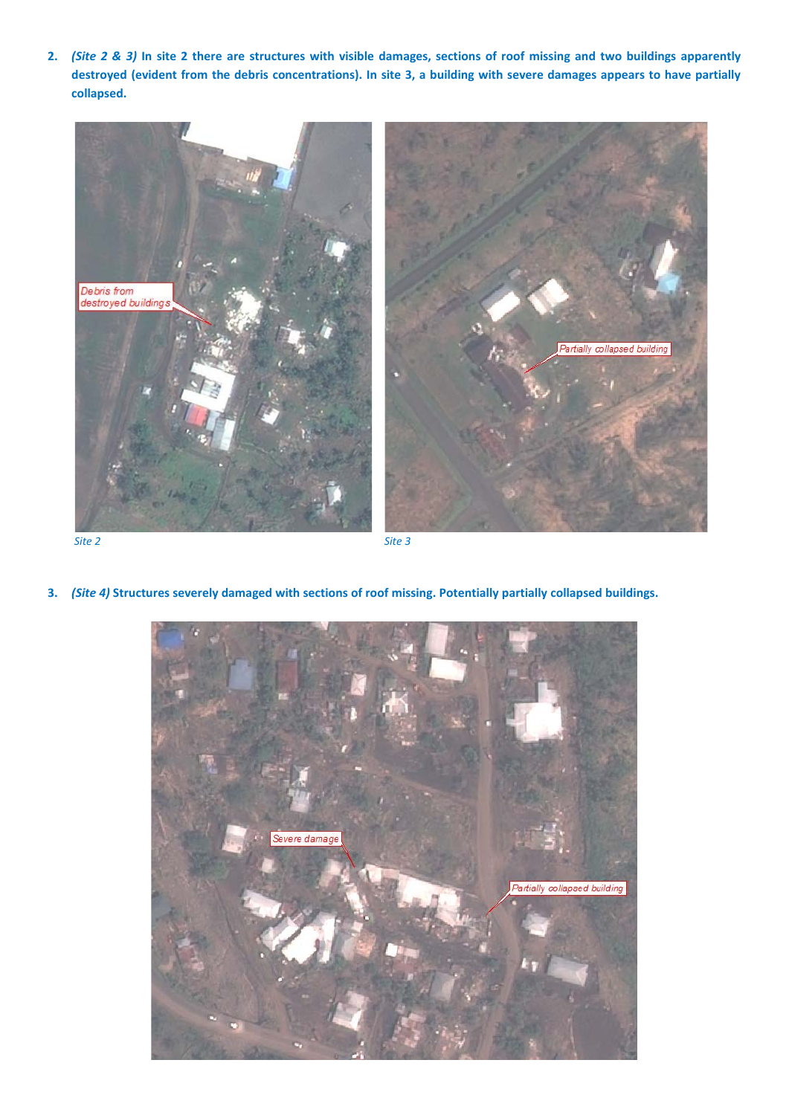**2.** *(Site 2 & 3)* **In site 2 there are structures with visible damages, sections of roof missing and two buildings apparently destroyed (evident from the debris concentrations). In site 3, a building with severe damages appears to have partially collapsed.** 



*Site 2 Site 3* 

**3.** *(Site 4)* **Structures severely damaged with sections of roof missing. Potentially partially collapsed buildings.** 

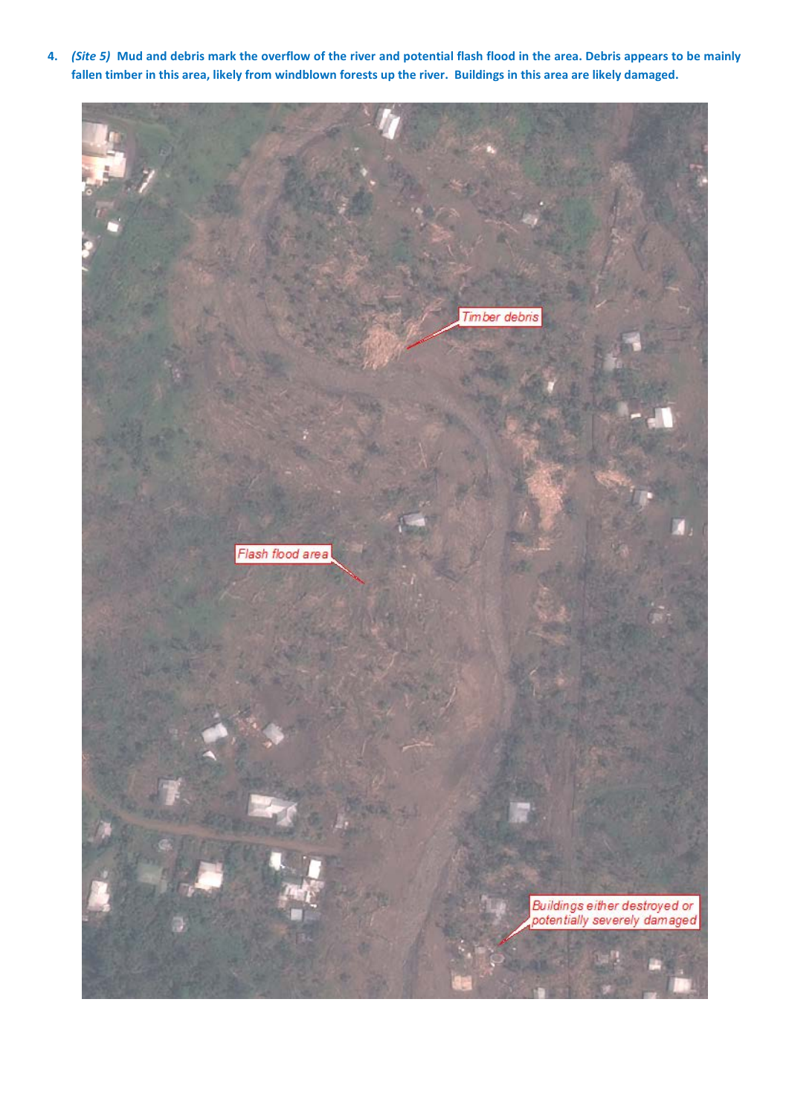**4.** *(Site 5)* **Mud and debris mark the overflow of the river and potential flash flood in the area. Debris appears to be mainly fallen timber in this area, likely from windblown forests up the river. Buildings in this area are likely damaged.**